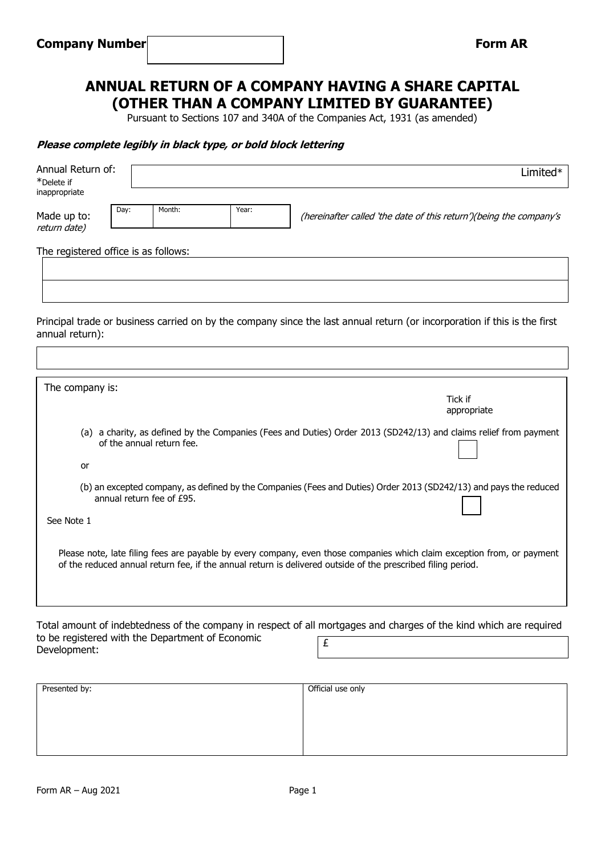# **ANNUAL RETURN OF A COMPANY HAVING A SHARE CAPITAL (OTHER THAN A COMPANY LIMITED BY GUARANTEE)**

Pursuant to Sections 107 and 340A of the Companies Act, 1931 (as amended)

#### **Please complete legibly in black type, or bold block lettering**

| Annual Return of:<br>*Delete if<br>inappropriate                                                                                               |      |                           |       | Limited*                                                                                                                                                                                                                                |  |  |  |
|------------------------------------------------------------------------------------------------------------------------------------------------|------|---------------------------|-------|-----------------------------------------------------------------------------------------------------------------------------------------------------------------------------------------------------------------------------------------|--|--|--|
| Made up to:<br>return date)                                                                                                                    | Day: | Month:                    | Year: | (hereinafter called 'the date of this return')(being the company's                                                                                                                                                                      |  |  |  |
| The registered office is as follows:                                                                                                           |      |                           |       |                                                                                                                                                                                                                                         |  |  |  |
|                                                                                                                                                |      |                           |       |                                                                                                                                                                                                                                         |  |  |  |
| annual return):                                                                                                                                |      |                           |       | Principal trade or business carried on by the company since the last annual return (or incorporation if this is the first                                                                                                               |  |  |  |
|                                                                                                                                                |      |                           |       |                                                                                                                                                                                                                                         |  |  |  |
| The company is:                                                                                                                                |      |                           |       | Tick if<br>appropriate                                                                                                                                                                                                                  |  |  |  |
| (a) a charity, as defined by the Companies (Fees and Duties) Order 2013 (SD242/13) and claims relief from payment<br>of the annual return fee. |      |                           |       |                                                                                                                                                                                                                                         |  |  |  |
| or                                                                                                                                             |      |                           |       |                                                                                                                                                                                                                                         |  |  |  |
|                                                                                                                                                |      | annual return fee of £95. |       | (b) an excepted company, as defined by the Companies (Fees and Duties) Order 2013 (SD242/13) and pays the reduced                                                                                                                       |  |  |  |
| See Note 1                                                                                                                                     |      |                           |       |                                                                                                                                                                                                                                         |  |  |  |
|                                                                                                                                                |      |                           |       | Please note, late filing fees are payable by every company, even those companies which claim exception from, or payment<br>of the reduced annual return fee, if the annual return is delivered outside of the prescribed filing period. |  |  |  |
| to he registered with the Department of Economic                                                                                               |      |                           |       | Total amount of indebtedness of the company in respect of all mortgages and charges of the kind which are required                                                                                                                      |  |  |  |

to be registered with the Department of Economic Development: £

| Presented by: | Official use only |
|---------------|-------------------|
|               |                   |
|               |                   |
|               |                   |
|               |                   |
|               |                   |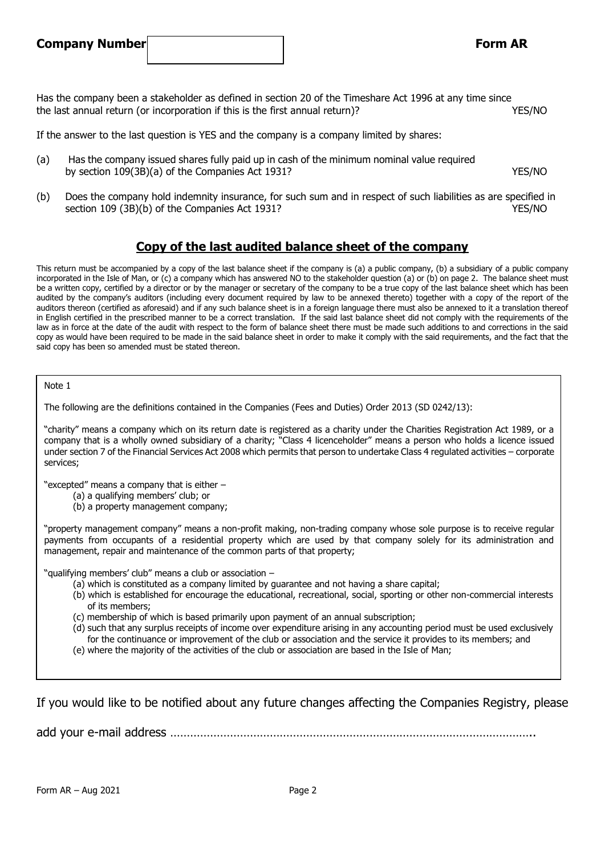## **Company Number Form AR**

Has the company been a stakeholder as defined in section 20 of the Timeshare Act 1996 at any time since the last annual return (or incorporation if this is the first annual return)? YES/NO

If the answer to the last question is YES and the company is a company limited by shares:

- (a) Has the company issued shares fully paid up in cash of the minimum nominal value required by section 109(3B)(a) of the Companies Act 1931? YES/NO
- (b) Does the company hold indemnity insurance, for such sum and in respect of such liabilities as are specified in section 109 (3B)(b) of the Companies Act 1931? The Companies Act 1931?

## **Copy of the last audited balance sheet of the company**

This return must be accompanied by a copy of the last balance sheet if the company is (a) a public company, (b) a subsidiary of a public company incorporated in the Isle of Man, or (c) a company which has answered NO to the stakeholder question (a) or (b) on page 2. The balance sheet must be a written copy, certified by a director or by the manager or secretary of the company to be a true copy of the last balance sheet which has been audited by the company's auditors (including every document required by law to be annexed thereto) together with a copy of the report of the auditors thereon (certified as aforesaid) and if any such balance sheet is in a foreign language there must also be annexed to it a translation thereof in English certified in the prescribed manner to be a correct translation. If the said last balance sheet did not comply with the requirements of the law as in force at the date of the audit with respect to the form of balance sheet there must be made such additions to and corrections in the said copy as would have been required to be made in the said balance sheet in order to make it comply with the said requirements, and the fact that the said copy has been so amended must be stated thereon.

#### Note 1

The following are the definitions contained in the Companies (Fees and Duties) Order 2013 (SD 0242/13):

"charity" means a company which on its return date is registered as a charity under the Charities Registration Act 1989, or a company that is a wholly owned subsidiary of a charity; "Class 4 licenceholder" means a person who holds a licence issued under section 7 of the Financial Services Act 2008 which permits that person to undertake Class 4 regulated activities – corporate services;

"excepted" means a company that is either –

- (a) a qualifying members' club; or
- (b) a property management company;

"property management company" means a non-profit making, non-trading company whose sole purpose is to receive regular payments from occupants of a residential property which are used by that company solely for its administration and management, repair and maintenance of the common parts of that property;

"qualifying members' club" means a club or association –

- (a) which is constituted as a company limited by guarantee and not having a share capital;
- (b) which is established for encourage the educational, recreational, social, sporting or other non-commercial interests of its members;
- (c) membership of which is based primarily upon payment of an annual subscription;
- (d) such that any surplus receipts of income over expenditure arising in any accounting period must be used exclusively for the continuance or improvement of the club or association and the service it provides to its members; and
- (e) where the majority of the activities of the club or association are based in the Isle of Man;

If you would like to be notified about any future changes affecting the Companies Registry, please

add your e-mail address ………………………………………………………………………………………………..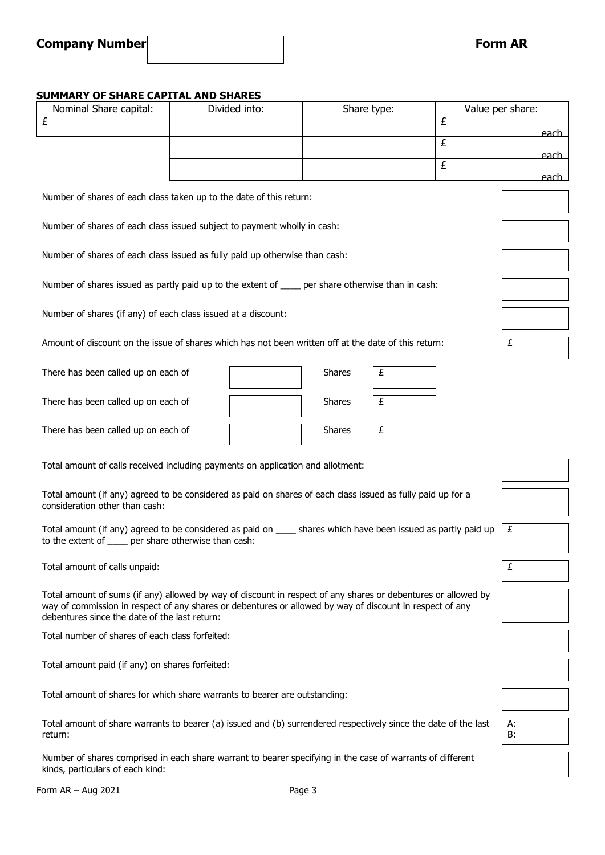## **SUMMARY OF SHARE CAPITAL AND SHARES**

| SUMMARY OF SHARE CAPITAL AND SHARES                                                                                                                       |  |               |               |   |                |                  |  |
|-----------------------------------------------------------------------------------------------------------------------------------------------------------|--|---------------|---------------|---|----------------|------------------|--|
| Nominal Share capital:<br>£                                                                                                                               |  | Divided into: | Share type:   |   | £              | Value per share: |  |
|                                                                                                                                                           |  |               |               |   |                | each.            |  |
|                                                                                                                                                           |  |               |               |   | $\overline{f}$ |                  |  |
|                                                                                                                                                           |  |               |               |   | £              | <u>each</u>      |  |
|                                                                                                                                                           |  |               |               |   |                | <u>each.</u>     |  |
| Number of shares of each class taken up to the date of this return:                                                                                       |  |               |               |   |                |                  |  |
|                                                                                                                                                           |  |               |               |   |                |                  |  |
| Number of shares of each class issued subject to payment wholly in cash:                                                                                  |  |               |               |   |                |                  |  |
|                                                                                                                                                           |  |               |               |   |                |                  |  |
| Number of shares of each class issued as fully paid up otherwise than cash:                                                                               |  |               |               |   |                |                  |  |
|                                                                                                                                                           |  |               |               |   |                |                  |  |
| Number of shares issued as partly paid up to the extent of ____ per share otherwise than in cash:                                                         |  |               |               |   |                |                  |  |
|                                                                                                                                                           |  |               |               |   |                |                  |  |
| Number of shares (if any) of each class issued at a discount:                                                                                             |  |               |               |   |                |                  |  |
|                                                                                                                                                           |  |               |               |   |                |                  |  |
| Amount of discount on the issue of shares which has not been written off at the date of this return:                                                      |  |               |               |   |                | £                |  |
|                                                                                                                                                           |  |               |               |   |                |                  |  |
| There has been called up on each of                                                                                                                       |  |               | <b>Shares</b> | £ |                |                  |  |
|                                                                                                                                                           |  |               |               |   |                |                  |  |
| There has been called up on each of                                                                                                                       |  |               | <b>Shares</b> | £ |                |                  |  |
|                                                                                                                                                           |  |               |               |   |                |                  |  |
| There has been called up on each of                                                                                                                       |  |               | <b>Shares</b> | £ |                |                  |  |
|                                                                                                                                                           |  |               |               |   |                |                  |  |
| Total amount of calls received including payments on application and allotment:                                                                           |  |               |               |   |                |                  |  |
|                                                                                                                                                           |  |               |               |   |                |                  |  |
| Total amount (if any) agreed to be considered as paid on shares of each class issued as fully paid up for a                                               |  |               |               |   |                |                  |  |
| consideration other than cash:                                                                                                                            |  |               |               |   |                |                  |  |
| £                                                                                                                                                         |  |               |               |   |                |                  |  |
| Total amount (if any) agreed to be considered as paid on _____ shares which have been issued as partly paid up                                            |  |               |               |   |                |                  |  |
| to the extent of _____ per share otherwise than cash:                                                                                                     |  |               |               |   |                |                  |  |
| Total amount of calls unpaid:                                                                                                                             |  |               |               |   |                |                  |  |
|                                                                                                                                                           |  |               |               |   |                |                  |  |
| Total amount of sums (if any) allowed by way of discount in respect of any shares or debentures or allowed by                                             |  |               |               |   |                |                  |  |
| way of commission in respect of any shares or debentures or allowed by way of discount in respect of any<br>debentures since the date of the last return: |  |               |               |   |                |                  |  |
|                                                                                                                                                           |  |               |               |   |                |                  |  |
| Total number of shares of each class forfeited:                                                                                                           |  |               |               |   |                |                  |  |
|                                                                                                                                                           |  |               |               |   |                |                  |  |
| Total amount paid (if any) on shares forfeited:                                                                                                           |  |               |               |   |                |                  |  |
|                                                                                                                                                           |  |               |               |   |                |                  |  |
| Total amount of shares for which share warrants to bearer are outstanding:                                                                                |  |               |               |   |                |                  |  |
|                                                                                                                                                           |  |               |               |   |                |                  |  |
| Total amount of share warrants to bearer (a) issued and (b) surrendered respectively since the date of the last                                           |  |               |               |   |                | А:<br>B:         |  |
| return:                                                                                                                                                   |  |               |               |   |                |                  |  |
| Number of shares comprised in each share warrant to bearer specifying in the case of warrants of different                                                |  |               |               |   |                |                  |  |
| kinds, particulars of each kind:                                                                                                                          |  |               |               |   |                |                  |  |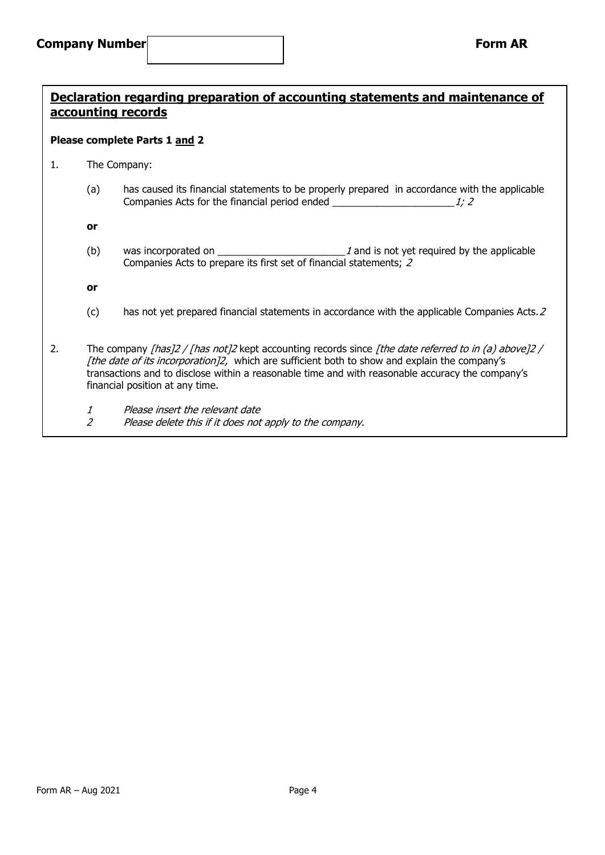## **Declaration regarding preparation of accounting statements and maintenance of accounting records**

### **Please complete Parts 1 and 2**

- 1. The Company:
	- (a) has caused its financial statements to be properly prepared in accordance with the applicable Companies Acts for the financial period ended  $\frac{1}{2}$

**or**

(b) was incorporated on  $\qquad \qquad$   $\qquad \qquad$   $\qquad$   $\qquad$  and is not yet required by the applicable Companies Acts to prepare its first set of financial statements; 2

**or**

- (c) has not yet prepared financial statements in accordance with the applicable Companies Acts.2
- 2. The company [has]2 / [has not]2 kept accounting records since [the date referred to in (a) above]2 / [the date of its incorporation]2, which are sufficient both to show and explain the company's transactions and to disclose within a reasonable time and with reasonable accuracy the company's financial position at any time.
	- 1 Please insert the relevant date
	- 2 Please delete this if it does not apply to the company.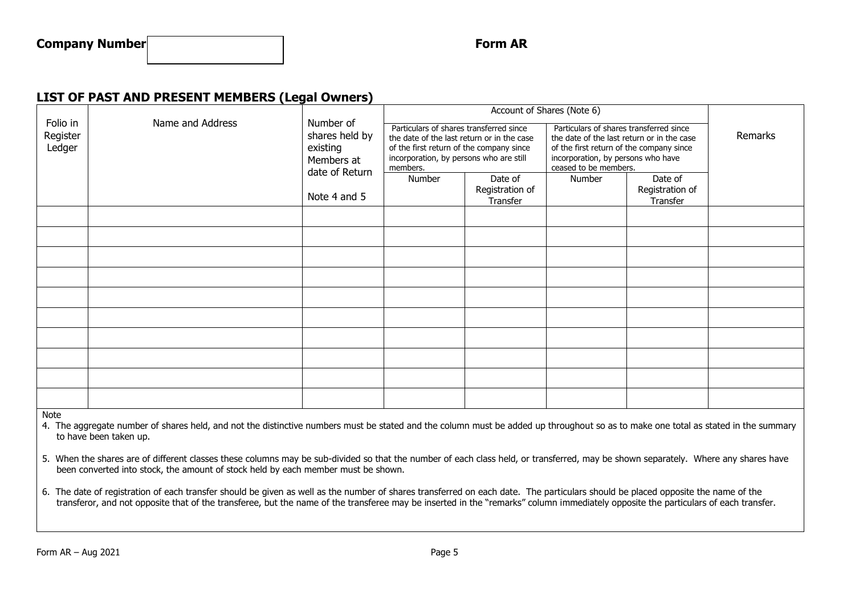## **LIST OF PAST AND PRESENT MEMBERS (Legal Owners)**

|                                |                  |                                                                                         | Account of Shares (Note 6)                                                                                                                                                               |                                        |                                                                                                                                                                                                  |                                        |         |
|--------------------------------|------------------|-----------------------------------------------------------------------------------------|------------------------------------------------------------------------------------------------------------------------------------------------------------------------------------------|----------------------------------------|--------------------------------------------------------------------------------------------------------------------------------------------------------------------------------------------------|----------------------------------------|---------|
| Folio in<br>Register<br>Ledger | Name and Address | Number of<br>shares held by<br>existing<br>Members at<br>date of Return<br>Note 4 and 5 | Particulars of shares transferred since<br>the date of the last return or in the case<br>of the first return of the company since<br>incorporation, by persons who are still<br>members. |                                        | Particulars of shares transferred since<br>the date of the last return or in the case<br>of the first return of the company since<br>incorporation, by persons who have<br>ceased to be members. |                                        | Remarks |
|                                |                  |                                                                                         | Number                                                                                                                                                                                   | Date of<br>Registration of<br>Transfer | Number                                                                                                                                                                                           | Date of<br>Registration of<br>Transfer |         |
|                                |                  |                                                                                         |                                                                                                                                                                                          |                                        |                                                                                                                                                                                                  |                                        |         |
|                                |                  |                                                                                         |                                                                                                                                                                                          |                                        |                                                                                                                                                                                                  |                                        |         |
|                                |                  |                                                                                         |                                                                                                                                                                                          |                                        |                                                                                                                                                                                                  |                                        |         |
|                                |                  |                                                                                         |                                                                                                                                                                                          |                                        |                                                                                                                                                                                                  |                                        |         |
|                                |                  |                                                                                         |                                                                                                                                                                                          |                                        |                                                                                                                                                                                                  |                                        |         |
|                                |                  |                                                                                         |                                                                                                                                                                                          |                                        |                                                                                                                                                                                                  |                                        |         |
|                                |                  |                                                                                         |                                                                                                                                                                                          |                                        |                                                                                                                                                                                                  |                                        |         |
|                                |                  |                                                                                         |                                                                                                                                                                                          |                                        |                                                                                                                                                                                                  |                                        |         |
|                                |                  |                                                                                         |                                                                                                                                                                                          |                                        |                                                                                                                                                                                                  |                                        |         |
|                                |                  |                                                                                         |                                                                                                                                                                                          |                                        |                                                                                                                                                                                                  |                                        |         |
| <b>BALLA</b>                   |                  |                                                                                         |                                                                                                                                                                                          |                                        |                                                                                                                                                                                                  |                                        |         |

Note

4. The aggregate number of shares held, and not the distinctive numbers must be stated and the column must be added up throughout so as to make one total as stated in the summary to have been taken up.

5. When the shares are of different classes these columns may be sub-divided so that the number of each class held, or transferred, may be shown separately. Where any shares have been converted into stock, the amount of stock held by each member must be shown.

6. The date of registration of each transfer should be given as well as the number of shares transferred on each date. The particulars should be placed opposite the name of the transferor, and not opposite that of the transferee, but the name of the transferee may be inserted in the "remarks" column immediately opposite the particulars of each transfer.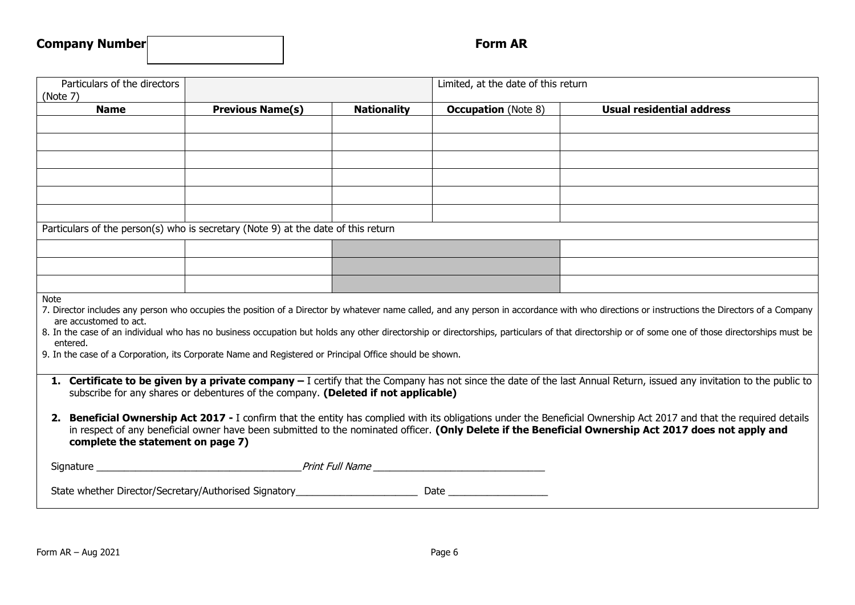| Particulars of the directors<br>(Note 7)                                                                                                                                                                                                                                                                                                                           |                                                                                                         |                    | Limited, at the date of this return |                                                                                                                                                                                                                                                                                                                                                                                                  |  |  |  |
|--------------------------------------------------------------------------------------------------------------------------------------------------------------------------------------------------------------------------------------------------------------------------------------------------------------------------------------------------------------------|---------------------------------------------------------------------------------------------------------|--------------------|-------------------------------------|--------------------------------------------------------------------------------------------------------------------------------------------------------------------------------------------------------------------------------------------------------------------------------------------------------------------------------------------------------------------------------------------------|--|--|--|
| <b>Name</b>                                                                                                                                                                                                                                                                                                                                                        | <b>Previous Name(s)</b>                                                                                 | <b>Nationality</b> | <b>Occupation</b> (Note 8)          | <b>Usual residential address</b>                                                                                                                                                                                                                                                                                                                                                                 |  |  |  |
|                                                                                                                                                                                                                                                                                                                                                                    |                                                                                                         |                    |                                     |                                                                                                                                                                                                                                                                                                                                                                                                  |  |  |  |
|                                                                                                                                                                                                                                                                                                                                                                    |                                                                                                         |                    |                                     |                                                                                                                                                                                                                                                                                                                                                                                                  |  |  |  |
|                                                                                                                                                                                                                                                                                                                                                                    |                                                                                                         |                    |                                     |                                                                                                                                                                                                                                                                                                                                                                                                  |  |  |  |
|                                                                                                                                                                                                                                                                                                                                                                    |                                                                                                         |                    |                                     |                                                                                                                                                                                                                                                                                                                                                                                                  |  |  |  |
|                                                                                                                                                                                                                                                                                                                                                                    |                                                                                                         |                    |                                     |                                                                                                                                                                                                                                                                                                                                                                                                  |  |  |  |
|                                                                                                                                                                                                                                                                                                                                                                    |                                                                                                         |                    |                                     |                                                                                                                                                                                                                                                                                                                                                                                                  |  |  |  |
| Particulars of the person(s) who is secretary (Note 9) at the date of this return                                                                                                                                                                                                                                                                                  |                                                                                                         |                    |                                     |                                                                                                                                                                                                                                                                                                                                                                                                  |  |  |  |
|                                                                                                                                                                                                                                                                                                                                                                    |                                                                                                         |                    |                                     |                                                                                                                                                                                                                                                                                                                                                                                                  |  |  |  |
|                                                                                                                                                                                                                                                                                                                                                                    |                                                                                                         |                    |                                     |                                                                                                                                                                                                                                                                                                                                                                                                  |  |  |  |
|                                                                                                                                                                                                                                                                                                                                                                    |                                                                                                         |                    |                                     |                                                                                                                                                                                                                                                                                                                                                                                                  |  |  |  |
| <b>Note</b><br>are accustomed to act.<br>entered.                                                                                                                                                                                                                                                                                                                  | 9. In the case of a Corporation, its Corporate Name and Registered or Principal Office should be shown. |                    |                                     | 7. Director includes any person who occupies the position of a Director by whatever name called, and any person in accordance with who directions or instructions the Directors of a Company<br>8. In the case of an individual who has no business occupation but holds any other directorship or directorships, particulars of that directorship or of some one of those directorships must be |  |  |  |
| 1. Certificate to be given by a private company - I certify that the Company has not since the date of the last Annual Return, issued any invitation to the public to<br>subscribe for any shares or debentures of the company. (Deleted if not applicable)                                                                                                        |                                                                                                         |                    |                                     |                                                                                                                                                                                                                                                                                                                                                                                                  |  |  |  |
| 2. Beneficial Ownership Act 2017 - I confirm that the entity has complied with its obligations under the Beneficial Ownership Act 2017 and that the required details<br>in respect of any beneficial owner have been submitted to the nominated officer. (Only Delete if the Beneficial Ownership Act 2017 does not apply and<br>complete the statement on page 7) |                                                                                                         |                    |                                     |                                                                                                                                                                                                                                                                                                                                                                                                  |  |  |  |
|                                                                                                                                                                                                                                                                                                                                                                    |                                                                                                         |                    |                                     |                                                                                                                                                                                                                                                                                                                                                                                                  |  |  |  |
|                                                                                                                                                                                                                                                                                                                                                                    |                                                                                                         |                    |                                     |                                                                                                                                                                                                                                                                                                                                                                                                  |  |  |  |